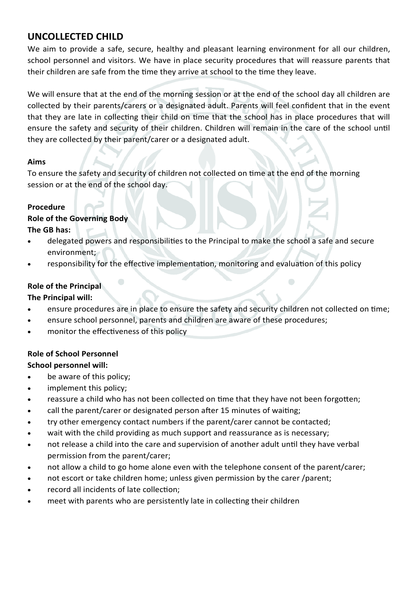# **UNCOLLECTED CHILD**

We aim to provide a safe, secure, healthy and pleasant learning environment for all our children, school personnel and visitors. We have in place security procedures that will reassure parents that their children are safe from the time they arrive at school to the time they leave.

We will ensure that at the end of the morning session or at the end of the school day all children are collected by their parents/carers or a designated adult. Parents will feel confident that in the event that they are late in collecting their child on time that the school has in place procedures that will ensure the safety and security of their children. Children will remain in the care of the school until they are collected by their parent/carer or a designated adult.

### **Aims**

To ensure the safety and security of children not collected on time at the end of the morning session or at the end of the school day.

### **Procedure**

### **Role of the Governing Body**

### **The GB has:**

- delegated powers and responsibilities to the Principal to make the school a safe and secure environment;
- responsibility for the effective implementation, monitoring and evaluation of this policy

# **Role of the Principal**

# **The Principal will:**

- ensure procedures are in place to ensure the safety and security children not collected on time;
- ensure school personnel, parents and children are aware of these procedures;
- monitor the effectiveness of this policy

# **Role of School Personnel**

### **School personnel will:**

- be aware of this policy;
- implement this policy;
- reassure a child who has not been collected on time that they have not been forgotten;
- call the parent/carer or designated person after 15 minutes of waiting;
- try other emergency contact numbers if the parent/carer cannot be contacted;
- wait with the child providing as much support and reassurance as is necessary;
- not release a child into the care and supervision of another adult until they have verbal permission from the parent/carer;
- not allow a child to go home alone even with the telephone consent of the parent/carer;
- not escort or take children home; unless given permission by the carer /parent;
- record all incidents of late collection;
- meet with parents who are persistently late in collecting their children